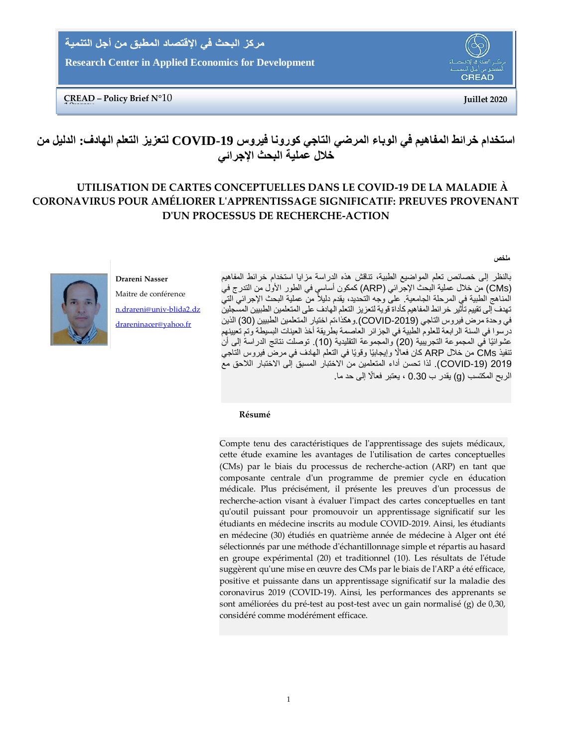مركز البحث في الاقتصاد المطبق من أجل التنمية

**Research Center in Applied Economics for Development**

**CREAD** 

**CREAD – Policy Brief N°**10 **Juillet 2020** 10**XXXXX2**

# **استخدام خرائط المفاهيم في الوباء المرضي التاجي كورونا فيروس -19COVID لتعزيز التعلم الهادف: الدليل من خالل عملية البحث اإلجرائي**

## **UTILISATION DE CARTES CONCEPTUELLES DANS LE COVID-19 DE LA MALADIE À CORONAVIRUS POUR AMÉLIORER L'APPRENTISSAGE SIGNIFICATIF: PREUVES PROVENANT D'UN PROCESSUS DE RECHERCHE-ACTION**

**ملخص**

بالنظر إلى خصائص تعلم المواضيع الطبية، تناقش هذه الدراسة مزايا استخدام خرائط المفاهيم )CMs )من خالل عملية البحث اإلجرائي )ARP )كمكون أساسي في الطور األول من التدرج في المناهج الطبية في المرحلة الجامعية على وجه التحديد، يقدم دليلاً من عملية البحث الإجرائي التي تهدف إلى تقييم تأثير خرائط المفاهيم كأداة قوية لتعزيز التعلم الهادف على المتعلمين الطبيين المسجلين في وحدة مرض فيروس التاجي (COVID-2019).وهكذا،تم اختيار المتعلمين الطبيين (30) الذين درسوا في السنة الرابعة للعلوم الطبية في الجزائر العاصمة بطريقة أخذ العينات البسيطة وتم تعيينهم عشوائيًا في المجموعة التجريبية (20) والمجموعة التقليدية (10). توصلت نتائج الدراسة إلى أن تنفيذ CMs من خالل ARP كان فعا ًًل وإيجابيًا وقويًا في التعلم الهادف في مرض فيروس التاجي 2019 )-19COVID). لذا تحسن أداء المتعلمين من اًلختبار المسبق إلى اًلختبار الالحق مع الربح المكتسب (g) يقدر ب 0.30 ، يعتبر فعالًا إلى حد ما

## **Drareni Nasser**

Maitre de conférence [n.drareni@univ-blida2.dz](mailto:n.drareni@univ-blida2.dz) [drareninacer@yahoo.fr](mailto:drareninacer@yahoo.fr)

### **Résumé**

Compte tenu des caractéristiques de l'apprentissage des sujets médicaux, cette étude examine les avantages de l'utilisation de cartes conceptuelles (CMs) par le biais du processus de recherche-action (ARP) en tant que composante centrale d'un programme de premier cycle en éducation médicale. Plus précisément, il présente les preuves d'un processus de recherche-action visant à évaluer l'impact des cartes conceptuelles en tant qu'outil puissant pour promouvoir un apprentissage significatif sur les étudiants en médecine inscrits au module COVID-2019. Ainsi, les étudiants en médecine (30) étudiés en quatrième année de médecine à Alger ont été sélectionnés par une méthode d'échantillonnage simple et répartis au hasard en groupe expérimental (20) et traditionnel (10). Les résultats de l'étude suggèrent qu'une mise en œuvre des CMs par le biais de l'ARP a été efficace, positive et puissante dans un apprentissage significatif sur la maladie des coronavirus 2019 (COVID-19). Ainsi, les performances des apprenants se sont améliorées du pré-test au post-test avec un gain normalisé (g) de 0,30, considéré comme modérément efficace.

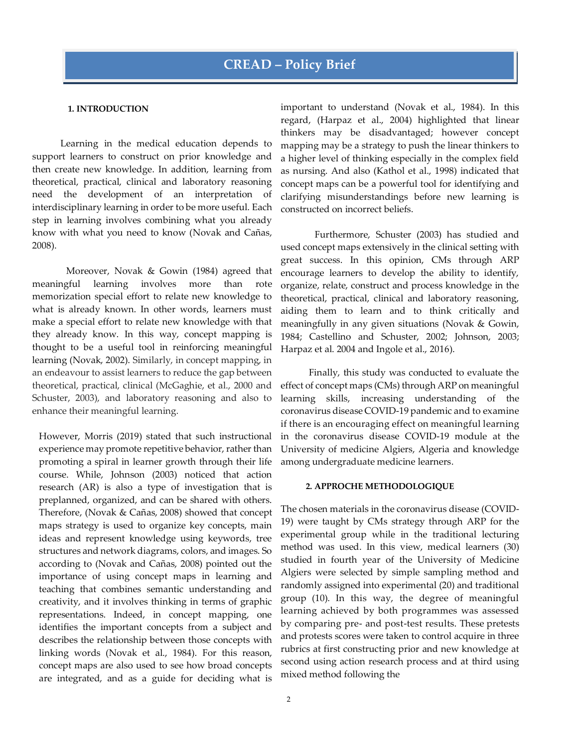### **1. INTRODUCTION**

Learning in the medical education depends to support learners to construct on prior knowledge and then create new knowledge. In addition, learning from theoretical, practical, clinical and laboratory reasoning need the development of an interpretation of interdisciplinary learning in order to be more useful. Each step in learning involves combining what you already know with what you need to know (Novak and Cañas, 2008).

Moreover, Novak & Gowin (1984) agreed that meaningful learning involves more than rote memorization special effort to relate new knowledge to what is already known. In other words, learners must make a special effort to relate new knowledge with that they already know. In this way, concept mapping is thought to be a useful tool in reinforcing meaningful learning (Novak, 2002). Similarly, in concept mapping, in an endeavour to assist learners to reduce the gap between theoretical, practical, clinical (McGaghie, et al., 2000 and Schuster, 2003), and laboratory reasoning and also to enhance their meaningful learning.

However, Morris (2019) stated that such instructional experience may promote repetitive behavior, rather than promoting a spiral in learner growth through their life course. While, Johnson (2003) noticed that action research (AR) is also a type of investigation that is preplanned, organized, and can be shared with others. Therefore, (Novak & Cañas, [2008\)](https://telrp.springeropen.com/articles/10.1186/s41039-017-0060-x#ref-CR31) showed that concept maps strategy is used to organize key concepts, main ideas and represent knowledge using keywords, tree structures and network diagrams, colors, and images. So according to (Novak and Cañas, 2008) pointed out the importance of using concept maps in learning and teaching that combines semantic understanding and creativity, and it involves thinking in terms of graphic representations. Indeed, in concept mapping, one identifies the important concepts from a subject and describes the relationship between those concepts with linking words (Novak et al., 1984). For this reason, concept maps are also used to see how broad concepts are integrated, and as a guide for deciding what is

important to understand (Novak et al., 1984). In this regard, (Harpaz et al., 2004) highlighted that linear thinkers may be disadvantaged; however concept mapping may be a strategy to push the linear thinkers to a higher level of thinking especially in the complex field as nursing. And also (Kathol et al., 1998) indicated that concept maps can be a powerful tool for identifying and clarifying misunderstandings before new learning is constructed on incorrect beliefs.

Furthermore, Schuster (2003) has studied and used concept maps extensively in the clinical setting with great success. In this opinion, CMs through ARP encourage learners to develop the ability to identify, organize, relate, construct and process knowledge in the theoretical, practical, clinical and laboratory reasoning, aiding them to learn and to think critically and meaningfully in any given situations (Novak & Gowin, 1984; Castellino and Schuster, 2002; Johnson, 2003; Harpaz et al. 2004 and Ingole et al., 2016).

Finally, this study was conducted to evaluate the effect of concept maps (CMs) through ARP on meaningful learning skills, increasing understanding of the coronavirus disease COVID-19 pandemic and to examine if there is an encouraging effect on meaningful learning in the coronavirus disease COVID-19 module at the University of medicine Algiers, Algeria and knowledge among undergraduate medicine learners.

### **2. APPROCHE METHODOLOGIQUE**

The chosen materials in the coronavirus disease (COVID-19) were taught by CMs strategy through ARP for the experimental group while in the traditional lecturing method was used. In this view, medical learners (30) studied in fourth year of the University of Medicine Algiers were selected by simple sampling method and randomly assigned into experimental (20) and traditional group (10). In this way, the degree of meaningful learning achieved by both programmes was assessed by comparing pre- and post-test results. These pretests and protests scores were taken to control acquire in three rubrics at first constructing prior and new knowledge at second using action research process and at third using mixed method following the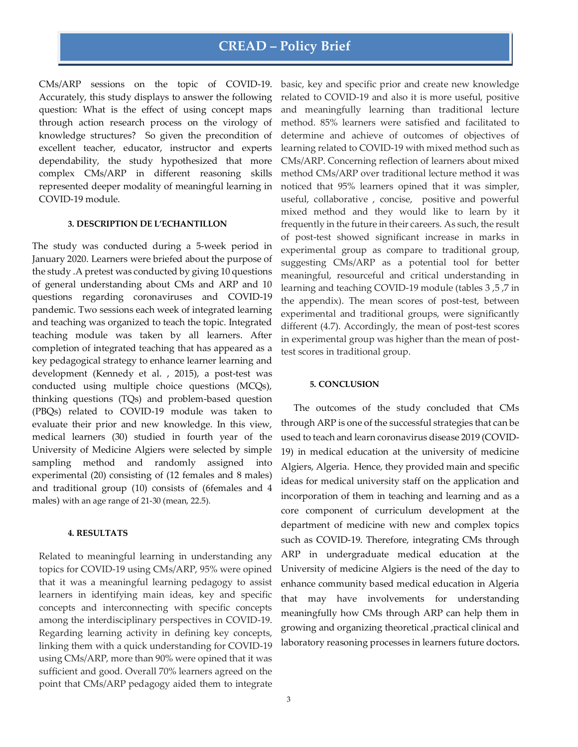## **CREAD – Policy Brief**

CMs/ARP sessions on the topic of COVID-19. Accurately, this study displays to answer the following question: What is the effect of using concept maps through action research process on the virology of knowledge structures? So given the precondition of excellent teacher, educator, instructor and experts dependability, the study hypothesized that more complex CMs/ARP in different reasoning skills represented deeper modality of meaningful learning in COVID-19 module.

### **3. DESCRIPTION DE L'ECHANTILLON**

The study was conducted during a 5-week period in January 2020. Learners were briefed about the purpose of the study .A pretest was conducted by giving 10 questions of general understanding about CMs and ARP and 10 questions regarding coronaviruses and COVID-19 pandemic. Two sessions each week of integrated learning and teaching was organized to teach the topic. Integrated teaching module was taken by all learners. After completion of integrated teaching that has appeared as a key pedagogical strategy to enhance learner learning and development (Kennedy et al. , 2015), a post-test was conducted using multiple choice questions (MCQs), thinking questions (TQs) and problem-based question (PBQs) related to COVID-19 module was taken to evaluate their prior and new knowledge. In this view, medical learners (30) studied in fourth year of the University of Medicine Algiers were selected by simple sampling method and randomly assigned into experimental (20) consisting of (12 females and 8 males) and traditional group (10) consists of (6females and 4 males) with an age range of 21-30 (mean, 22.5).

### **4. RESULTATS**

Related to meaningful learning in understanding any topics for COVID-19 using CMs/ARP, 95% were opined that it was a meaningful learning pedagogy to assist learners in identifying main ideas, key and specific concepts and interconnecting with specific concepts among the interdisciplinary perspectives in COVID-19. Regarding learning activity in defining key concepts, linking them with a quick understanding for COVID-19 using CMs/ARP, more than 90% were opined that it was sufficient and good. Overall 70% learners agreed on the point that CMs/ARP pedagogy aided them to integrate

basic, key and specific prior and create new knowledge related to COVID-19 and also it is more useful, positive and meaningfully learning than traditional lecture method. 85% learners were satisfied and facilitated to determine and achieve of outcomes of objectives of learning related to COVID-19 with mixed method such as CMs/ARP. Concerning reflection of learners about mixed method CMs/ARP over traditional lecture method it was noticed that 95% learners opined that it was simpler, useful, collaborative , concise, positive and powerful mixed method and they would like to learn by it frequently in the future in their careers. As such, the result of post-test showed significant increase in marks in experimental group as compare to traditional group, suggesting CMs/ARP as a potential tool for better meaningful, resourceful and critical understanding in learning and teaching COVID-19 module (tables 3 ,5 ,7 in the appendix). The mean scores of post-test, between experimental and traditional groups, were significantly different (4.7). Accordingly, the mean of post-test scores in experimental group was higher than the mean of posttest scores in traditional group.

#### **5. CONCLUSION**

The outcomes of the study concluded that CMs through ARP is one of the successful strategies that can be used to teach and learn coronavirus disease 2019 (COVID-19) in medical education at the university of medicine Algiers, Algeria. Hence, they provided main and specific ideas for medical university staff on the application and incorporation of them in teaching and learning and as a core component of curriculum development at the department of medicine with new and complex topics such as COVID-19. Therefore, integrating CMs through ARP in undergraduate medical education at the University of medicine Algiers is the need of the day to enhance community based medical education in Algeria that may have involvements for understanding meaningfully how CMs through ARP can help them in growing and organizing theoretical ,practical clinical and laboratory reasoning processes in learners future doctors**.**